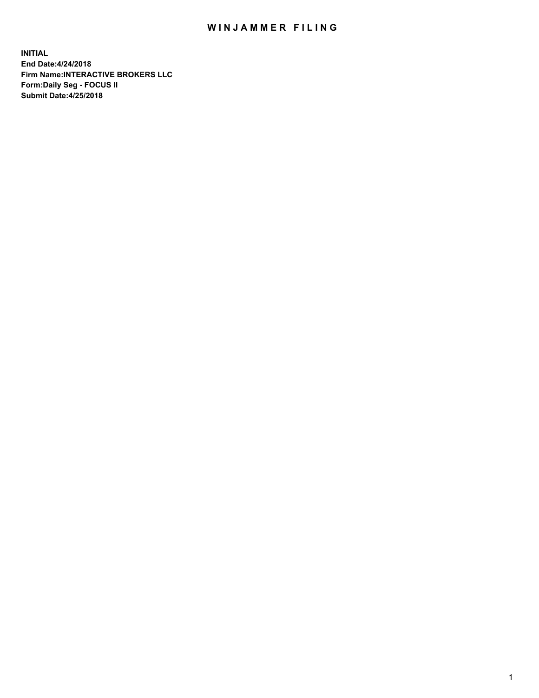## WIN JAMMER FILING

**INITIAL End Date:4/24/2018 Firm Name:INTERACTIVE BROKERS LLC Form:Daily Seg - FOCUS II Submit Date:4/25/2018**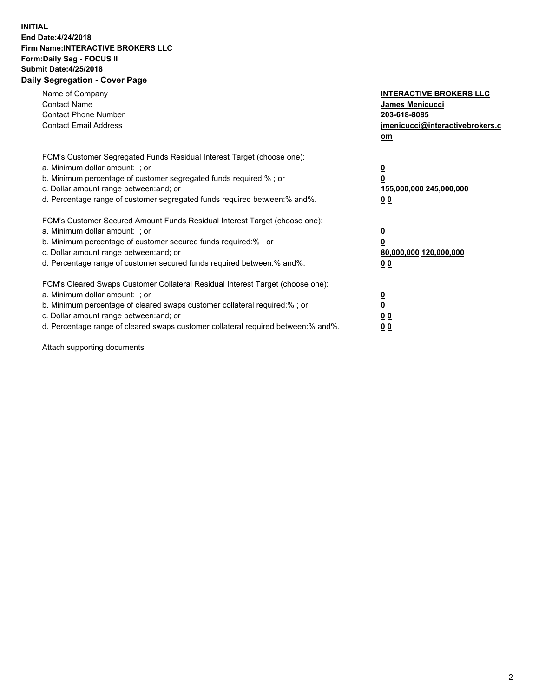## **INITIAL End Date:4/24/2018 Firm Name:INTERACTIVE BROKERS LLC Form:Daily Seg - FOCUS II Submit Date:4/25/2018 Daily Segregation - Cover Page**

| Name of Company<br><b>Contact Name</b><br><b>Contact Phone Number</b><br><b>Contact Email Address</b>                                                                                                                                                                                                                          | <b>INTERACTIVE BROKERS LLC</b><br>James Menicucci<br>203-618-8085<br>jmenicucci@interactivebrokers.c<br>om |
|--------------------------------------------------------------------------------------------------------------------------------------------------------------------------------------------------------------------------------------------------------------------------------------------------------------------------------|------------------------------------------------------------------------------------------------------------|
| FCM's Customer Segregated Funds Residual Interest Target (choose one):<br>a. Minimum dollar amount: ; or<br>b. Minimum percentage of customer segregated funds required:%; or<br>c. Dollar amount range between: and; or<br>d. Percentage range of customer segregated funds required between:% and%.                          | $\overline{\mathbf{0}}$<br>0<br>155,000,000 245,000,000<br>0 <sub>0</sub>                                  |
| FCM's Customer Secured Amount Funds Residual Interest Target (choose one):<br>a. Minimum dollar amount: ; or<br>b. Minimum percentage of customer secured funds required:%; or<br>c. Dollar amount range between: and; or<br>d. Percentage range of customer secured funds required between:% and%.                            | $\overline{\mathbf{0}}$<br>$\overline{\mathbf{0}}$<br>80,000,000 120,000,000<br>00                         |
| FCM's Cleared Swaps Customer Collateral Residual Interest Target (choose one):<br>a. Minimum dollar amount: ; or<br>b. Minimum percentage of cleared swaps customer collateral required:% ; or<br>c. Dollar amount range between: and; or<br>d. Percentage range of cleared swaps customer collateral required between:% and%. | $\overline{\mathbf{0}}$<br>$\overline{\mathbf{0}}$<br>0 <sub>0</sub><br><u>00</u>                          |

Attach supporting documents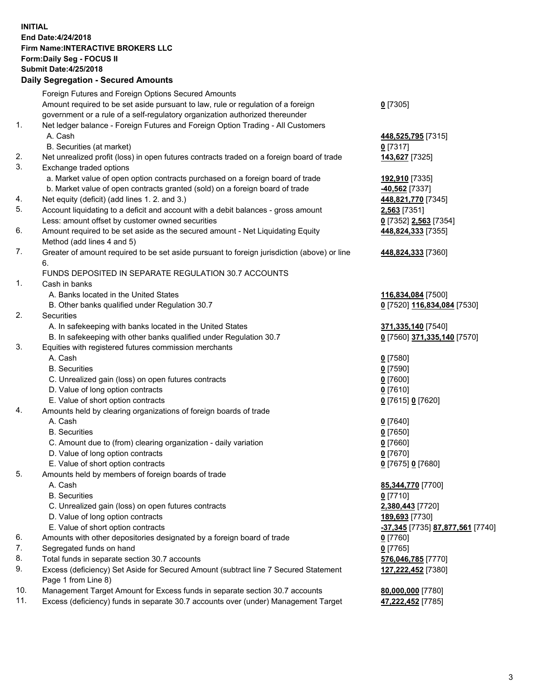## **INITIAL End Date:4/24/2018 Firm Name:INTERACTIVE BROKERS LLC Form:Daily Seg - FOCUS II Submit Date:4/25/2018 Daily Segregation - Secured Amounts**

|                | Daily Ocglegation - Occuled Amounts                                                                        |                                  |
|----------------|------------------------------------------------------------------------------------------------------------|----------------------------------|
|                | Foreign Futures and Foreign Options Secured Amounts                                                        |                                  |
|                | Amount required to be set aside pursuant to law, rule or regulation of a foreign                           | $0$ [7305]                       |
|                | government or a rule of a self-regulatory organization authorized thereunder                               |                                  |
| 1.             | Net ledger balance - Foreign Futures and Foreign Option Trading - All Customers                            |                                  |
|                | A. Cash                                                                                                    | 448,525,795 [7315]               |
|                | B. Securities (at market)                                                                                  | $0$ [7317]                       |
| 2.             | Net unrealized profit (loss) in open futures contracts traded on a foreign board of trade                  | 143,627 [7325]                   |
| 3.             | Exchange traded options                                                                                    |                                  |
|                | a. Market value of open option contracts purchased on a foreign board of trade                             | 192,910 [7335]                   |
|                | b. Market value of open contracts granted (sold) on a foreign board of trade                               | -40,562 [7337]                   |
| 4.             | Net equity (deficit) (add lines 1.2. and 3.)                                                               | 448,821,770 [7345]               |
| 5.             | Account liquidating to a deficit and account with a debit balances - gross amount                          | 2,563 [7351]                     |
|                | Less: amount offset by customer owned securities                                                           | 0 [7352] 2,563 [7354]            |
| 6.             | Amount required to be set aside as the secured amount - Net Liquidating Equity                             | 448,824,333 [7355]               |
|                | Method (add lines 4 and 5)                                                                                 |                                  |
| 7.             | Greater of amount required to be set aside pursuant to foreign jurisdiction (above) or line                | 448,824,333 [7360]               |
|                | 6.                                                                                                         |                                  |
|                | FUNDS DEPOSITED IN SEPARATE REGULATION 30.7 ACCOUNTS                                                       |                                  |
| $\mathbf{1}$ . | Cash in banks                                                                                              |                                  |
|                | A. Banks located in the United States                                                                      | 116,834,084 [7500]               |
|                | B. Other banks qualified under Regulation 30.7                                                             | 0 [7520] 116,834,084 [7530]      |
| 2.             | Securities                                                                                                 |                                  |
|                | A. In safekeeping with banks located in the United States                                                  | 371,335,140 [7540]               |
|                | B. In safekeeping with other banks qualified under Regulation 30.7                                         | 0 [7560] 371,335,140 [7570]      |
| 3.             | Equities with registered futures commission merchants                                                      |                                  |
|                | A. Cash                                                                                                    | $0$ [7580]                       |
|                | <b>B.</b> Securities                                                                                       | $0$ [7590]                       |
|                | C. Unrealized gain (loss) on open futures contracts                                                        | $0$ [7600]                       |
|                | D. Value of long option contracts                                                                          | $0$ [7610]                       |
|                | E. Value of short option contracts                                                                         | 0 [7615] 0 [7620]                |
| 4.             | Amounts held by clearing organizations of foreign boards of trade                                          |                                  |
|                | A. Cash                                                                                                    | $0$ [7640]                       |
|                | <b>B.</b> Securities                                                                                       | $0$ [7650]                       |
|                | C. Amount due to (from) clearing organization - daily variation                                            | $0$ [7660]                       |
|                | D. Value of long option contracts                                                                          | $0$ [7670]                       |
|                | E. Value of short option contracts                                                                         | 0 [7675] 0 [7680]                |
| 5.             | Amounts held by members of foreign boards of trade                                                         |                                  |
|                | A. Cash                                                                                                    | 85,344,770 [7700]                |
|                | <b>B.</b> Securities                                                                                       | $0$ [7710]                       |
|                | C. Unrealized gain (loss) on open futures contracts                                                        | 2,380,443 [7720]                 |
|                | D. Value of long option contracts                                                                          | 189,693 [7730]                   |
|                | E. Value of short option contracts                                                                         | -37,345 [7735] 87,877,561 [7740] |
| 6.             | Amounts with other depositories designated by a foreign board of trade                                     | 0 [7760]                         |
| 7.             | Segregated funds on hand                                                                                   | $0$ [7765]                       |
| 8.             | Total funds in separate section 30.7 accounts                                                              | 576,046,785 [7770]               |
| 9.             | Excess (deficiency) Set Aside for Secured Amount (subtract line 7 Secured Statement<br>Page 1 from Line 8) | 127,222,452 [7380]               |
| 10.            | Management Target Amount for Excess funds in separate section 30.7 accounts                                | 80,000,000 [7780]                |
| 11.            | Excess (deficiency) funds in separate 30.7 accounts over (under) Management Target                         | 47,222,452 [7785]                |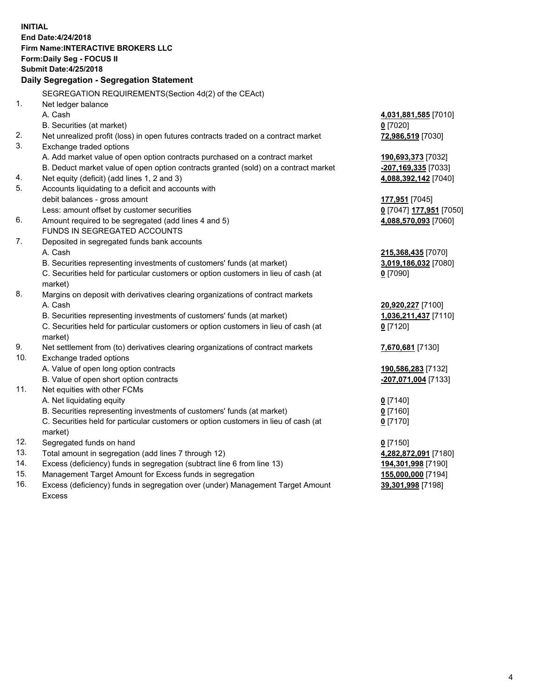**INITIAL End Date:4/24/2018 Firm Name:INTERACTIVE BROKERS LLC Form:Daily Seg - FOCUS II Submit Date:4/25/2018 Daily Segregation - Segregation Statement** SEGREGATION REQUIREMENTS(Section 4d(2) of the CEAct) 1. Net ledger balance A. Cash **4,031,881,585** [7010] B. Securities (at market) **0** [7020] 2. Net unrealized profit (loss) in open futures contracts traded on a contract market **72,986,519** [7030] 3. Exchange traded options A. Add market value of open option contracts purchased on a contract market **190,693,373** [7032] B. Deduct market value of open option contracts granted (sold) on a contract market **-207,169,335** [7033] 4. Net equity (deficit) (add lines 1, 2 and 3) **4,088,392,142** [7040] 5. Accounts liquidating to a deficit and accounts with debit balances - gross amount **177,951** [7045] Less: amount offset by customer securities **0** [7047] **177,951** [7050] 6. Amount required to be segregated (add lines 4 and 5) **4,088,570,093** [7060] FUNDS IN SEGREGATED ACCOUNTS 7. Deposited in segregated funds bank accounts A. Cash **215,368,435** [7070] B. Securities representing investments of customers' funds (at market) **3,019,186,032** [7080] C. Securities held for particular customers or option customers in lieu of cash (at market) **0** [7090] 8. Margins on deposit with derivatives clearing organizations of contract markets A. Cash **20,920,227** [7100] B. Securities representing investments of customers' funds (at market) **1,036,211,437** [7110] C. Securities held for particular customers or option customers in lieu of cash (at market) **0** [7120] 9. Net settlement from (to) derivatives clearing organizations of contract markets **7,670,681** [7130] 10. Exchange traded options A. Value of open long option contracts **190,586,283** [7132] B. Value of open short option contracts **-207,071,004** [7133] 11. Net equities with other FCMs A. Net liquidating equity **0** [7140] B. Securities representing investments of customers' funds (at market) **0** [7160] C. Securities held for particular customers or option customers in lieu of cash (at market) **0** [7170] 12. Segregated funds on hand **0** [7150] 13. Total amount in segregation (add lines 7 through 12) **4,282,872,091** [7180] 14. Excess (deficiency) funds in segregation (subtract line 6 from line 13) **194,301,998** [7190] 15. Management Target Amount for Excess funds in segregation **155,000,000** [7194] **39,301,998** [7198]

16. Excess (deficiency) funds in segregation over (under) Management Target Amount Excess